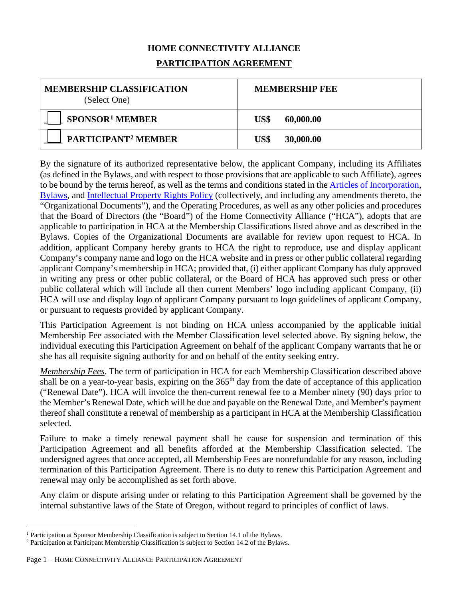## **HOME CONNECTIVITY ALLIANCE PARTICIPATION AGREEMENT**

| <b>MEMBERSHIP CLASSIFICATION</b><br>(Select One) | <b>MEMBERSHIP FEE</b> |
|--------------------------------------------------|-----------------------|
| SPONSOR <sup>1</sup> MEMBER                      | US\$<br>60,000.00     |
| <b>PARTICIPANT<sup>2</sup> MEMBER</b>            | 30,000.00<br>US\$     |

By the signature of its authorized representative below, the applicant Company, including its Affiliates (as defined in the Bylaws, and with respect to those provisions that are applicable to such Affiliate), agrees to be bound by the terms hereof, as well as the terms and conditions stated in the [Articles](https://members.homeconnectivityalliance.org/document/dl/44) [of Incorporation,](https://members.homeconnectivityalliance.org/document/dl/44) [Bylaws,](https://members.homeconnectivityalliance.org/document/dl/42) and [Intellectual Property Rights Policy](https://members.homeconnectivityalliance.org/document/dl/43) (collectively, and including any amendments thereto, the "Organizational Documents"), and the Operating Procedures, as well as any other policies and procedures that the Board of Directors (the "Board") of the Home Connectivity Alliance ("HCA"), adopts that are applicable to participation in HCA at the Membership Classifications listed above and as described in the Bylaws. Copies of the Organizational Documents are available for review upon request to HCA. In addition, applicant Company hereby grants to HCA the right to reproduce, use and display applicant Company's company name and logo on the HCA website and in press or other public collateral regarding applicant Company's membership in HCA; provided that, (i) either applicant Company has duly approved in writing any press or other public collateral, or the Board of HCA has approved such press or other public collateral which will include all then current Members' logo including applicant Company, (ii) HCA will use and display logo of applicant Company pursuant to logo guidelines of applicant Company, or pursuant to requests provided by applicant Company.

This Participation Agreement is not binding on HCA unless accompanied by the applicable initial Membership Fee associated with the Member Classification level selected above. By signing below, the individual executing this Participation Agreement on behalf of the applicant Company warrants that he or she has all requisite signing authority for and on behalf of the entity seeking entry.

*Membership Fees*. The term of participation in HCA for each Membership Classification described above shall be on a year-to-year basis, expiring on the  $365<sup>th</sup>$  day from the date of acceptance of this application ("Renewal Date"). HCA will invoice the then-current renewal fee to a Member ninety (90) days prior to the Member's Renewal Date, which will be due and payable on the Renewal Date, and Member's payment thereof shall constitute a renewal of membership as a participant in HCA at the Membership Classification selected.

Failure to make a timely renewal payment shall be cause for suspension and termination of this Participation Agreement and all benefits afforded at the Membership Classification selected. The undersigned agrees that once accepted, all Membership Fees are nonrefundable for any reason, including termination of this Participation Agreement. There is no duty to renew this Participation Agreement and renewal may only be accomplished as set forth above.

Any claim or dispute arising under or relating to this Participation Agreement shall be governed by the internal substantive laws of the State of Oregon, without regard to principles of conflict of laws.

<span id="page-0-0"></span><sup>1</sup> Participation at Sponsor Membership Classification is subject to Section 14.1 of the Bylaws.

<span id="page-0-1"></span><sup>&</sup>lt;sup>2</sup> Participation at Participant Membership Classification is subject to Section 14.2 of the Bylaws.

Page 1 – HOME CONNECTIVITY ALLIANCE PARTICIPATION AGREEMENT